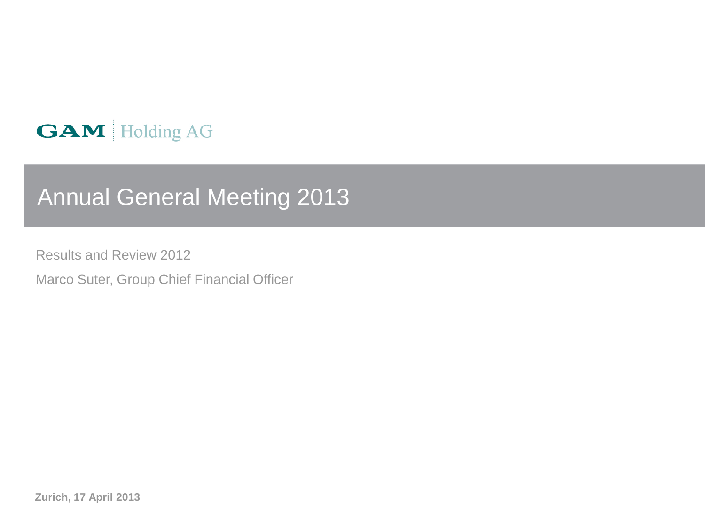# **GAM** Holding AG

# Annual General Meeting 2013

Results and Review 2012

Marco Suter, Group Chief Financial Officer

**Zurich, 17 April 2013**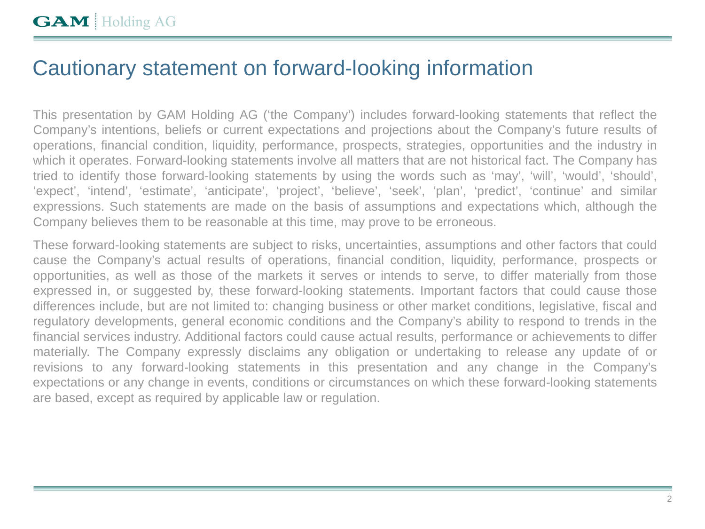# Cautionary statement on forward-looking information

This presentation by GAM Holding AG ('the Company') includes forward-looking statements that reflect the Company's intentions, beliefs or current expectations and projections about the Company's future results of operations, financial condition, liquidity, performance, prospects, strategies, opportunities and the industry in which it operates. Forward-looking statements involve all matters that are not historical fact. The Company has tried to identify those forward-looking statements by using the words such as 'may', 'will', 'would', 'should', 'expect', 'intend', 'estimate', 'anticipate', 'project', 'believe', 'seek', 'plan', 'predict', 'continue' and similar expressions. Such statements are made on the basis of assumptions and expectations which, although the Company believes them to be reasonable at this time, may prove to be erroneous.

These forward-looking statements are subject to risks, uncertainties, assumptions and other factors that could cause the Company's actual results of operations, financial condition, liquidity, performance, prospects or opportunities, as well as those of the markets it serves or intends to serve, to differ materially from those expressed in, or suggested by, these forward-looking statements. Important factors that could cause those differences include, but are not limited to: changing business or other market conditions, legislative, fiscal and regulatory developments, general economic conditions and the Company's ability to respond to trends in the financial services industry. Additional factors could cause actual results, performance or achievements to differ materially. The Company expressly disclaims any obligation or undertaking to release any update of or revisions to any forward-looking statements in this presentation and any change in the Company's expectations or any change in events, conditions or circumstances on which these forward-looking statements are based, except as required by applicable law or regulation.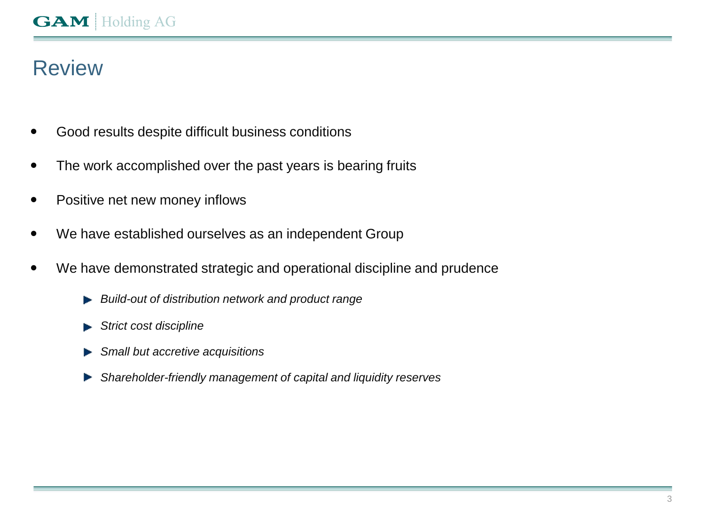# Review

- Good results despite difficult business conditions
- The work accomplished over the past years is bearing fruits
- Positive net new money inflows
- We have established ourselves as an independent Group
- We have demonstrated strategic and operational discipline and prudence
	- *Build-out of distribution network and product range*
	- *Strict cost discipline*
	- *Small but accretive acquisitions*
	- *Shareholder-friendly management of capital and liquidity reserves*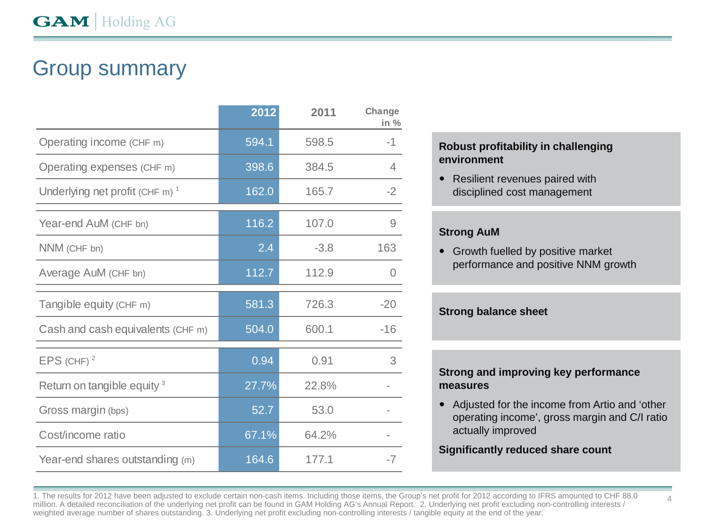# Group summary

|                                               | 2012  | 2011   | Change<br>in $%$ |
|-----------------------------------------------|-------|--------|------------------|
| Operating income (CHF m)                      | 594.1 | 598.5  | $-1$             |
| Operating expenses (CHF m)                    | 398.6 | 384.5  | 4                |
| Underlying net profit (CHF $m$ ) <sup>1</sup> | 162.0 | 165.7  | $-2$             |
| Year-end AuM (CHF bn)                         | 116.2 | 107.0  | 9                |
| NNM (CHF bn)                                  | 2.4   | $-3.8$ | 163              |
| Average AuM (CHF bn)                          | 112.7 | 112.9  |                  |
| Tangible equity (CHF m)                       | 581.3 | 726.3  | $-20$            |
| Cash and cash equivalents (CHF m)             | 504.0 | 600.1  | $-16$            |
| EPS (CHF) $^2$                                | 0.94  | 0.91   | 3                |
| Return on tangible equity <sup>3</sup>        | 27.7% | 22.8%  |                  |
| Gross margin (bps)                            | 52.7  | 53.0   |                  |
| Cost/income ratio                             | 67.1% | 64.2%  |                  |
| Year-end shares outstanding (m)               | 164.6 | 177.1  | $-7$             |

### **Robust profitability in challenging environment**

• Resilient revenues paired with disciplined cost management

### **Strong AuM**

• Growth fuelled by positive market performance and positive NNM growth

### **Strong balance sheet**

### **Strong and improving key performance measures**

 Adjusted for the income from Artio and 'other operating income', gross margin and C/I ratio actually improved

 $\overline{A}$ 

### **Significantly reduced share count**

1. The results for 2012 have been adjusted to exclude certain non-cash items. Including those items, the Group's net profit for 2012 according to IFRS amounted to CHF 88.0 million. A detailed reconciliation of the underlying net profit can be found in GAM Holding AG's Annual Report. 2. Underlying net profit excluding non-controlling interests / weighted average number of shares outstanding. 3. Underlying net profit excluding non-controlling interests / tangible equity at the end of the year.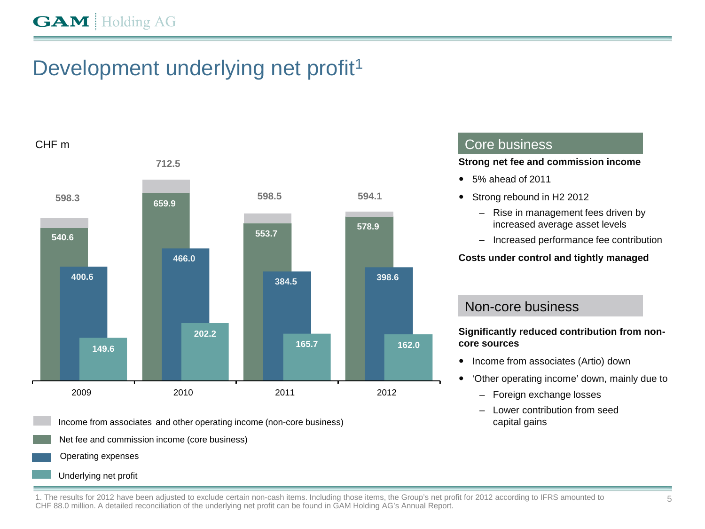# Development underlying net profit<sup>1</sup>



Income from associates and other operating income (non-core business)

Net fee and commission income (core business)

Operating expenses

### Underlying net profit

## Core business

#### **Strong net fee and commission income**

- 5% ahead of 2011
- Strong rebound in H2 2012
	- Rise in management fees driven by increased average asset levels
	- Increased performance fee contribution

#### **Costs under control and tightly managed**

## Non-core business

#### **Significantly reduced contribution from noncore sources**

- Income from associates (Artio) down
- 'Other operating income' down, mainly due to
	- Foreign exchange losses
	- Lower contribution from seed capital gains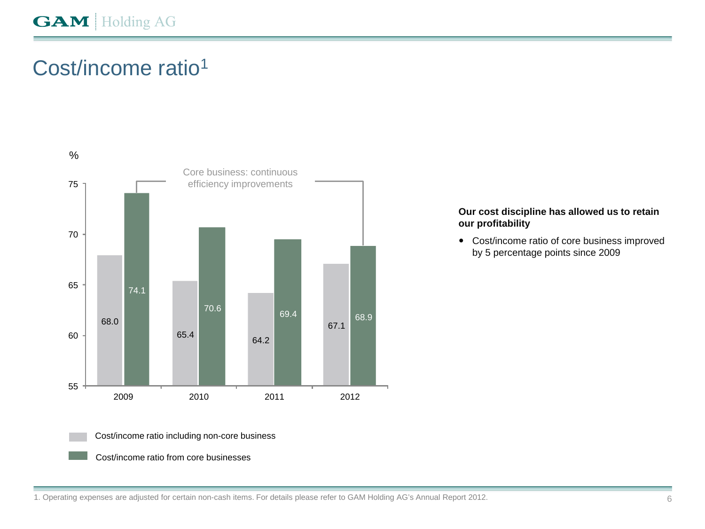# Cost/income ratio<sup>1</sup>



#### **Our cost discipline has allowed us to retain our profitability**

 Cost/income ratio of core business improved by 5 percentage points since 2009

Cost/income ratio including non-core business

Cost/income ratio from core businesses

1. Operating expenses are adjusted for certain non-cash items. For details please refer to GAM Holding AG's Annual Report 2012.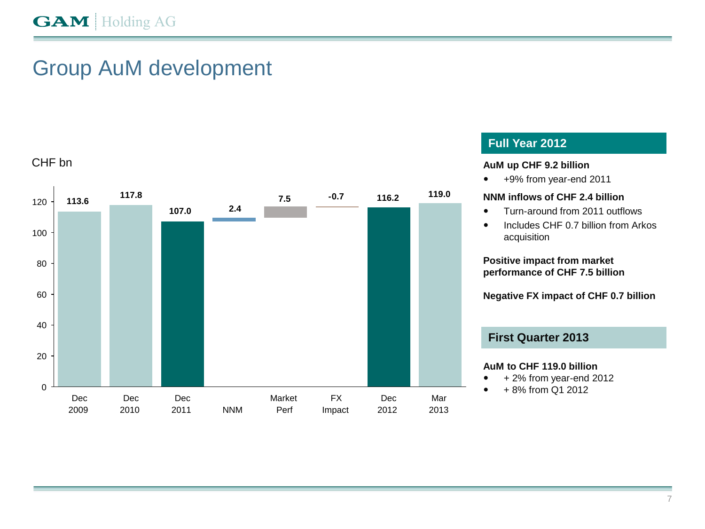# Group AuM development



### **Full Year 2012**

#### **AuM up CHF 9.2 billion**

+9% from year-end 2011

#### **NNM inflows of CHF 2.4 billion**

- Turn-around from 2011 outflows
- Includes CHF 0.7 billion from Arkos acquisition

**Positive impact from market performance of CHF 7.5 billion**

**Negative FX impact of CHF 0.7 billion**

### **First Quarter 2013**

#### **AuM to CHF 119.0 billion**

- $+ 2\%$  from year-end 2012
- $+ 8\%$  from Q1 2012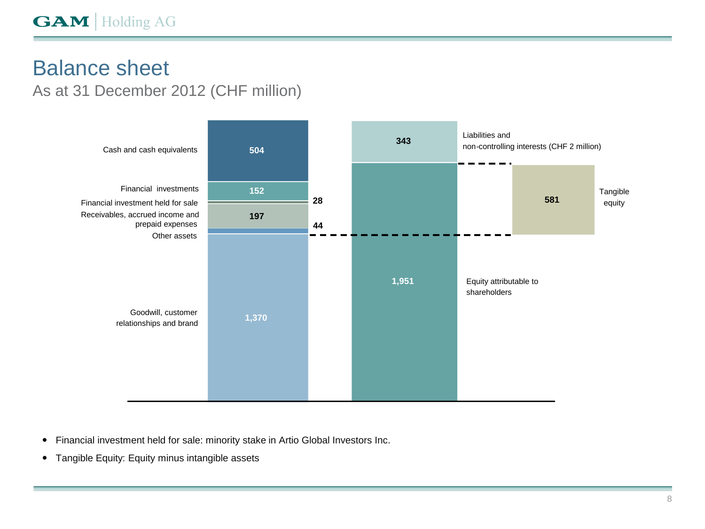## Balance sheet As at 31 December 2012 (CHF million)



- Financial investment held for sale: minority stake in Artio Global Investors Inc.
- Tangible Equity: Equity minus intangible assets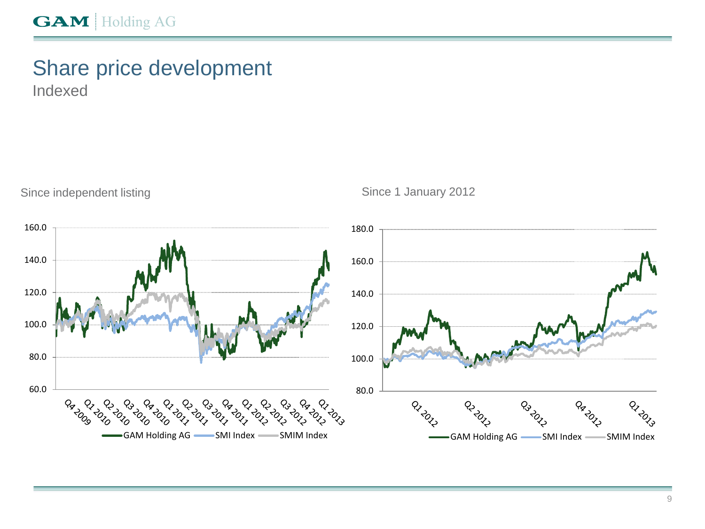## Share price development Indexed

Since independent listing Since 1 January 2012

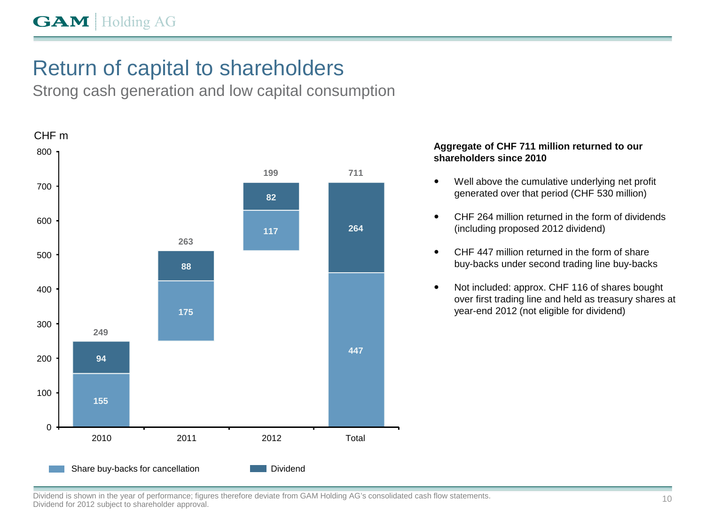# Return of capital to shareholders

Strong cash generation and low capital consumption



### **Aggregate of CHF 711 million returned to our shareholders since 2010**

- Well above the cumulative underlying net profit generated over that period (CHF 530 million)
- CHF 264 million returned in the form of dividends (including proposed 2012 dividend)
- CHF 447 million returned in the form of share buy-backs under second trading line buy-backs
- Not included: approx. CHF 116 of shares bought over first trading line and held as treasury shares at year-end 2012 (not eligible for dividend)

Dividend is shown in the year of performance; figures therefore deviate from GAM Holding AG's consolidated cash flow statements. Dividend for 2012 subject to shareholder approval.